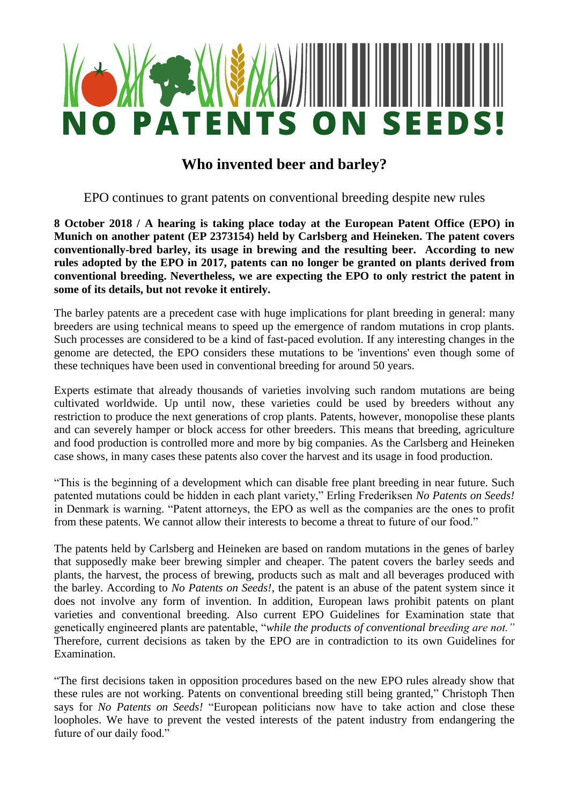

# **Who invented beer and barley?**

EPO continues to grant patents on conventional breeding despite new rules

**8 October 2018 / A hearing is taking place today at the European Patent Office (EPO) in Munich on another patent (EP 2373154) held by Carlsberg and Heineken. The patent covers conventionally-bred barley, its usage in brewing and the resulting beer. According to new rules adopted by the EPO in 2017, patents can no longer be granted on plants derived from conventional breeding. Nevertheless, we are expecting the EPO to only restrict the patent in some of its details, but not revoke it entirely.** 

The barley patents are a precedent case with huge implications for plant breeding in general: many breeders are using technical means to speed up the emergence of random mutations in crop plants. Such processes are considered to be a kind of fast-paced evolution. If any interesting changes in the genome are detected, the EPO considers these mutations to be 'inventions' even though some of these techniques have been used in conventional breeding for around 50 years.

Experts estimate that already thousands of varieties involving such random mutations are being cultivated worldwide. Up until now, these varieties could be used by breeders without any restriction to produce the next generations of crop plants. Patents, however, monopolise these plants and can severely hamper or block access for other breeders. This means that breeding, agriculture and food production is controlled more and more by big companies. As the Carlsberg and Heineken case shows, in many cases these patents also cover the harvest and its usage in food production.

"This is the beginning of a development which can disable free plant breeding in near future. Such patented mutations could be hidden in each plant variety," Erling Frederiksen *No Patents on Seeds!*  in Denmark is warning. "Patent attorneys, the EPO as well as the companies are the ones to profit from these patents. We cannot allow their interests to become a threat to future of our food."

The patents held by Carlsberg and Heineken are based on random mutations in the genes of barley that supposedly make beer brewing simpler and cheaper. The patent covers the barley seeds and plants, the harvest, the process of brewing, products such as malt and all beverages produced with the barley. According to *No Patents on Seeds!*, the patent is an abuse of the patent system since it does not involve any form of invention. In addition, European laws prohibit patents on plant varieties and conventional breeding. Also current EPO Guidelines for Examination state that genetically engineered plants are patentable, "*while the products of conventional breeding are not."*  Therefore, current decisions as taken by the EPO are in contradiction to its own Guidelines for Examination.

"The first decisions taken in opposition procedures based on the new EPO rules already show that these rules are not working. Patents on conventional breeding still being granted," Christoph Then says for *No Patents on Seeds!* "European politicians now have to take action and close these loopholes. We have to prevent the vested interests of the patent industry from endangering the future of our daily food."